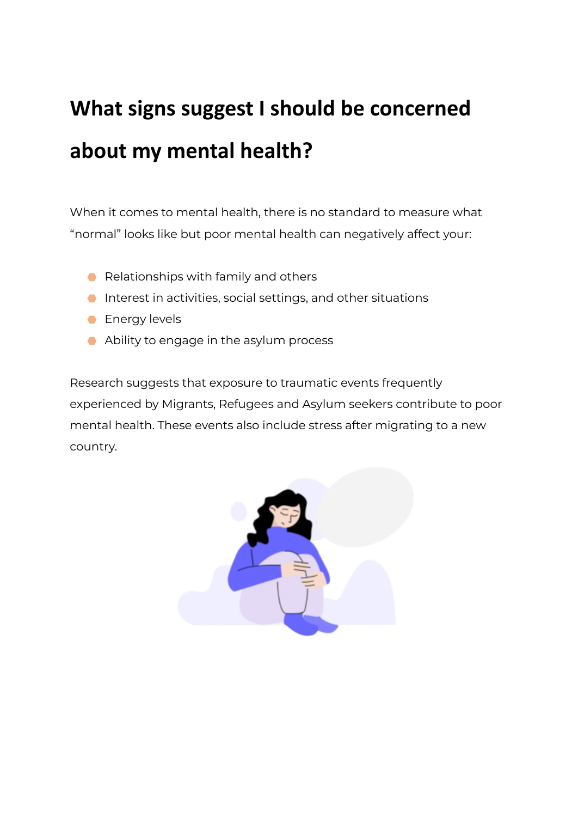# **What signs suggest I should be concerned about my mental health?**

When it comes to mental health, there is no standard to measure what "normal" looks like but poor mental health can negatively affect your:

- Relationships with family and others
- ⬣ Interest in activities, social settings, and other situations
- **Energy levels**
- Ability to engage in the asylum process

Research suggests that exposure to traumatic events frequently experienced by Migrants, Refugees and Asylum seekers contribute to poor mental health. These events also include stress after migrating to a new country.

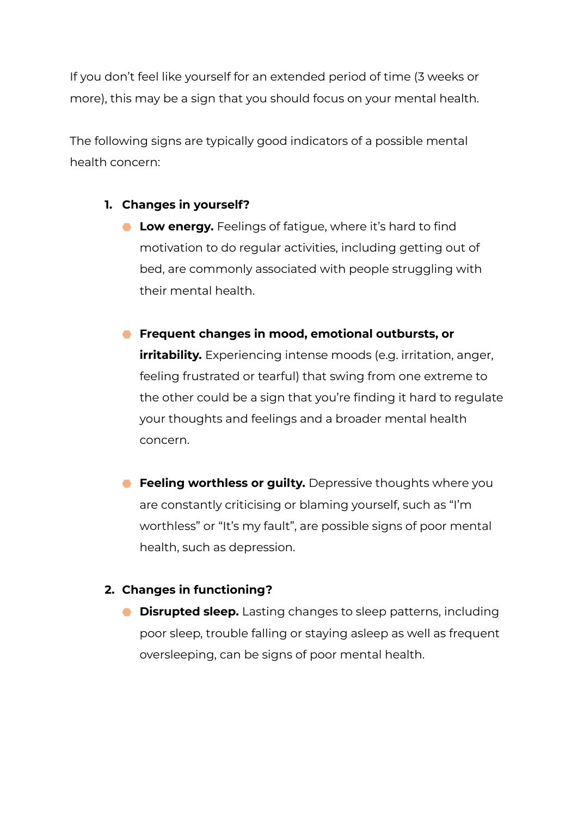If you don't feel like yourself for an extended period of time (3 weeks or more), this may be a sign that you should focus on your mental health.

The following signs are typically good indicators of a possible mental health concern:

### **1. Changes in yourself?**

⬣ **Low energy.** Feelings of fatigue, where it's hard to find motivation to do regular activities, including getting out of bed, are commonly associated with people struggling with their mental health.

### ⬣ **Frequent changes in mood, emotional outbursts, or**

**irritability.** Experiencing intense moods (e.g. irritation, anger, feeling frustrated or tearful) that swing from one extreme to the other could be a sign that you're finding it hard to regulate your thoughts and feelings and a broader mental health concern.

⬣ **Feeling worthless or guilty.** Depressive thoughts where you are constantly criticising or blaming yourself, such as "I'm worthless" or "It's my fault", are possible signs of poor mental health, such as depression.

### **2. Changes in functioning?**

⬣ **Disrupted sleep.** Lasting changes to sleep patterns, including poor sleep, trouble falling or staying asleep as well as frequent oversleeping, can be signs of poor mental health.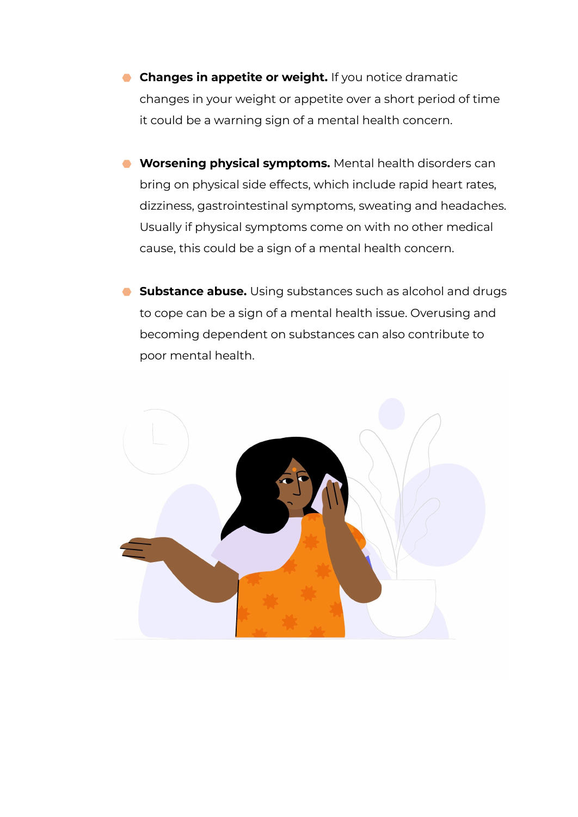- ⬣ **Changes in appetite or weight.** If you notice dramatic changes in your weight or appetite over a short period of time it could be a warning sign of a mental health concern.
- ⬣ **Worsening physical symptoms.** Mental health disorders can bring on physical side effects, which include rapid heart rates, dizziness, gastrointestinal symptoms, sweating and headaches. Usually if physical symptoms come on with no other medical cause, this could be a sign of a mental health concern.
- ⬣ **Substance abuse.** Using substances such as alcohol and drugs to cope can be a sign of a mental health issue. Overusing and becoming dependent on substances can also contribute to poor mental health.

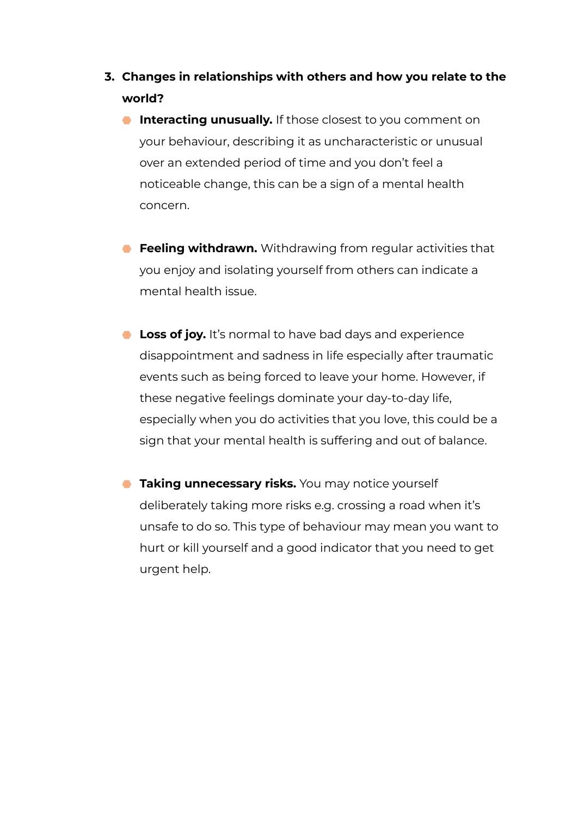- **3. Changes in relationships with others and how you relate to the world?**
	- **Interacting unusually.** If those closest to you comment on your behaviour, describing it as uncharacteristic or unusual over an extended period of time and you don't feel a noticeable change, this can be a sign of a mental health concern.
	- ⬣ **Feeling withdrawn.** Withdrawing from regular activities that you enjoy and isolating yourself from others can indicate a mental health issue.
	- ⬣ **Loss of joy.** It's normal to have bad days and experience disappointment and sadness in life especially after traumatic events such as being forced to leave your home. However, if these negative feelings dominate your day-to-day life, especially when you do activities that you love, this could be a sign that your mental health is suffering and out of balance.
	- **Taking unnecessary risks.** You may notice yourself deliberately taking more risks e.g. crossing a road when it's unsafe to do so. This type of behaviour may mean you want to hurt or kill yourself and a good indicator that you need to get urgent help.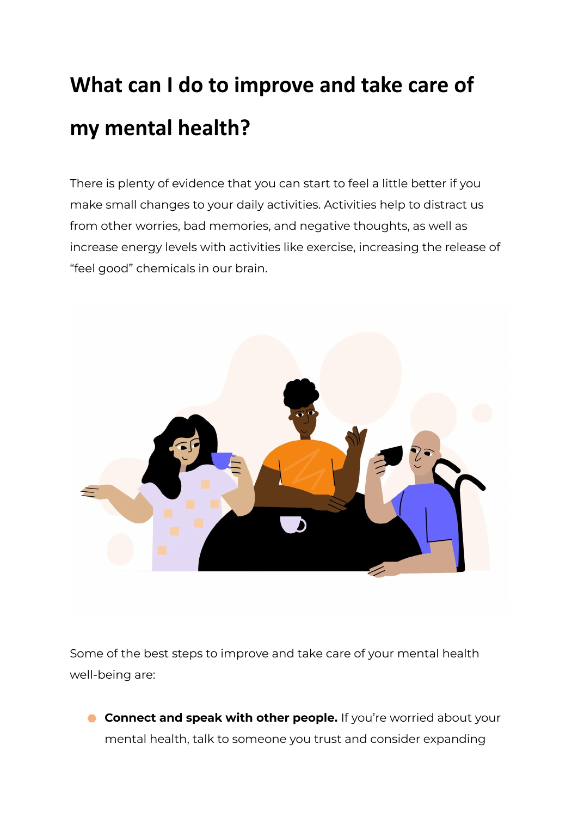# **What can I do to improve and take care of my mental health?**

There is plenty of evidence that you can start to feel a little better if you make small changes to your daily activities. Activities help to distract us from other worries, bad memories, and negative thoughts, as well as increase energy levels with activities like exercise, increasing the release of "feel good" chemicals in our brain.



Some of the best steps to improve and take care of your mental health well-being are:

⬣ **Connect and speak with other people.** If you're worried about your mental health, talk to someone you trust and consider expanding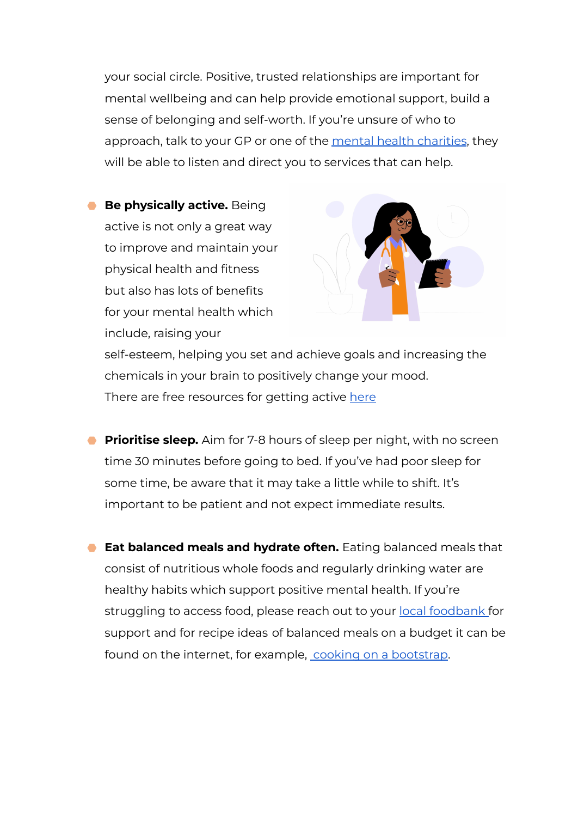your social circle. Positive, trusted relationships are important for mental wellbeing and can help provide emotional support, build a sense of belonging and self-worth. If you're unsure of who to approach, talk to your GP or one of the mental health [charities](https://www.vulnerabilityregistrationservice.co.uk/mental-health-care-companies/), they will be able to listen and direct you to services that can help.

⬣ **Be physically active.** Being active is not only a great way to improve and maintain your physical health and fitness but also has lots of benefits for your mental health which include, raising your



self-esteem, helping you set and achieve goals and increasing the chemicals in your brain to positively change your mood. T[here](https://www.nhs.uk/live-well/exercise/free-fitness-ideas/) are free resources for getting active here

- **Prioritise sleep.** Aim for 7-8 hours of sleep per night, with no screen time 30 minutes before going to bed. If you've had poor sleep for some time, be aware that it may take a little while to shift. It's important to be patient and not expect immediate results.
- ⬣ **Eat balanced meals and hydrate often.** Eating balanced meals that consist of nutritious whole foods and regularly drinking water are healthy habits which support positive mental health. If you're struggling to access food, please reach out to your local [foodbank](https://www.trusselltrust.org) for support and for recipe ideas of balanced meals on a budget it can be found on the internet, for example, cooking on a [bootstrap](https://cookingonabootstrap.com/).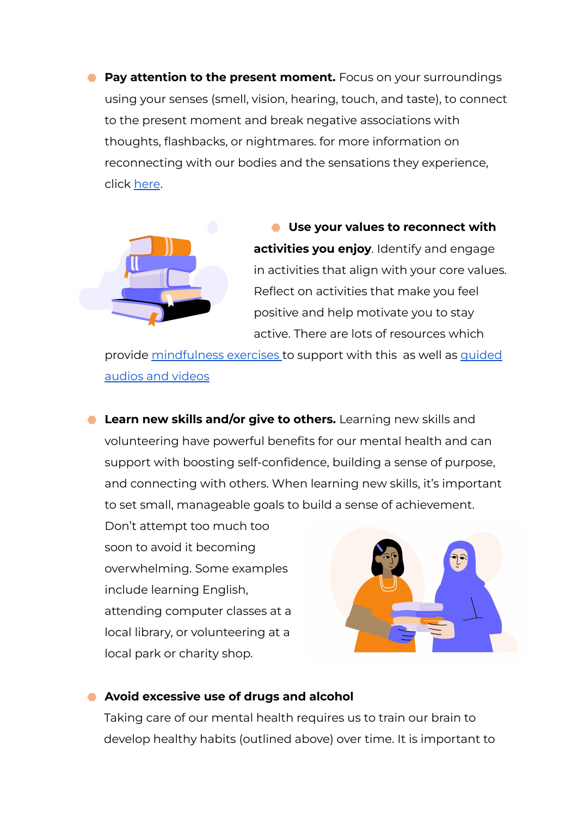⬣ **Pay attention to the present moment.** Focus on your surroundings using your senses (smell, vision, hearing, touch, and taste), to connect to the present moment and break negative associations with thoughts, flashbacks, or nightmares. for more information on reconnecting with our bodies and the sensations they experience, click [here](https://www.nhs.uk/mental-health/self-help/tips-and-support/mindfulness/).



⬣ **Use your values to reconnect with activities you enjoy**. Identify and engage in activities that align with your core values. Reflect on activities that make you feel positive and help motivate you to stay active. There are lots of resources which

provide [mindfulness](https://www.mind.org.uk/information-support/drugs-and-treatments/mindfulness/mindfulness-exercises-tips/) exercises to support with this as well as [guided](https://www.uclahealth.org/marc/mindful-meditations.) [audios](https://www.uclahealth.org/marc/mindful-meditations.) and videos

⬣ **Learn new skills and/or give to others.** Learning new skills and volunteering have powerful benefits for our mental health and can support with boosting self-confidence, building a sense of purpose, and connecting with others. When learning new skills, it's important to set small, manageable goals to build a sense of achievement.

Don't attempt too much too soon to avoid it becoming overwhelming. Some examples include learning English, attending computer classes at a local library, or volunteering at a local park or charity shop.



#### ⬣ **Avoid excessive use of drugs and alcohol**

Taking care of our mental health requires us to train our brain to develop healthy habits (outlined above) over time. It is important to